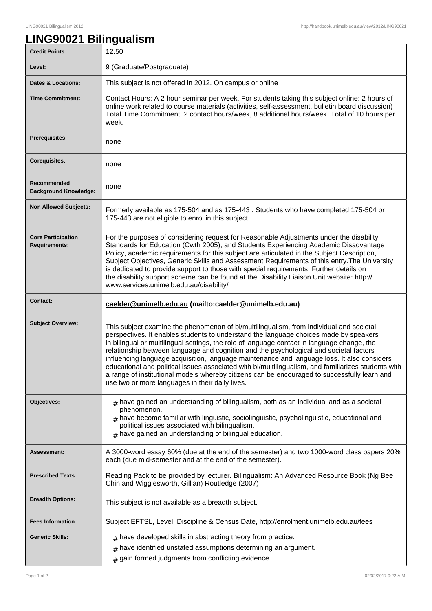٦

## **LING90021 Bilingualism**

| <b>Credit Points:</b>                             | 12.50                                                                                                                                                                                                                                                                                                                                                                                                                                                                                                                                                                                                                                                                                                                              |
|---------------------------------------------------|------------------------------------------------------------------------------------------------------------------------------------------------------------------------------------------------------------------------------------------------------------------------------------------------------------------------------------------------------------------------------------------------------------------------------------------------------------------------------------------------------------------------------------------------------------------------------------------------------------------------------------------------------------------------------------------------------------------------------------|
| Level:                                            | 9 (Graduate/Postgraduate)                                                                                                                                                                                                                                                                                                                                                                                                                                                                                                                                                                                                                                                                                                          |
| <b>Dates &amp; Locations:</b>                     | This subject is not offered in 2012. On campus or online                                                                                                                                                                                                                                                                                                                                                                                                                                                                                                                                                                                                                                                                           |
| <b>Time Commitment:</b>                           | Contact Hours: A 2 hour seminar per week. For students taking this subject online: 2 hours of<br>online work related to course materials (activities, self-assessment, bulletin board discussion)<br>Total Time Commitment: 2 contact hours/week, 8 additional hours/week. Total of 10 hours per<br>week.                                                                                                                                                                                                                                                                                                                                                                                                                          |
| <b>Prerequisites:</b>                             | none                                                                                                                                                                                                                                                                                                                                                                                                                                                                                                                                                                                                                                                                                                                               |
| <b>Corequisites:</b>                              | none                                                                                                                                                                                                                                                                                                                                                                                                                                                                                                                                                                                                                                                                                                                               |
| Recommended<br><b>Background Knowledge:</b>       | none                                                                                                                                                                                                                                                                                                                                                                                                                                                                                                                                                                                                                                                                                                                               |
| <b>Non Allowed Subjects:</b>                      | Formerly available as 175-504 and as 175-443. Students who have completed 175-504 or<br>175-443 are not eligible to enrol in this subject.                                                                                                                                                                                                                                                                                                                                                                                                                                                                                                                                                                                         |
| <b>Core Participation</b><br><b>Requirements:</b> | For the purposes of considering request for Reasonable Adjustments under the disability<br>Standards for Education (Cwth 2005), and Students Experiencing Academic Disadvantage<br>Policy, academic requirements for this subject are articulated in the Subject Description,<br>Subject Objectives, Generic Skills and Assessment Requirements of this entry. The University<br>is dedicated to provide support to those with special requirements. Further details on<br>the disability support scheme can be found at the Disability Liaison Unit website: http://<br>www.services.unimelb.edu.au/disability/                                                                                                                   |
| <b>Contact:</b>                                   | caelder@unimelb.edu.au (mailto:caelder@unimelb.edu.au)                                                                                                                                                                                                                                                                                                                                                                                                                                                                                                                                                                                                                                                                             |
| <b>Subject Overview:</b>                          | This subject examine the phenomenon of bi/multilingualism, from individual and societal<br>perspectives. It enables students to understand the language choices made by speakers<br>in bilingual or multilingual settings, the role of language contact in language change, the<br>relationship between language and cognition and the psychological and societal factors<br>influencing language acquisition, language maintenance and language loss. It also considers<br>educational and political issues associated with bi/multilingualism, and familiarizes students with<br>a range of institutional models whereby citizens can be encouraged to successfully learn and<br>use two or more languages in their daily lives. |
| Objectives:                                       | $_{\rm #}$ have gained an understanding of bilingualism, both as an individual and as a societal<br>phenomenon.<br>$_{\#}$ have become familiar with linguistic, sociolinguistic, psycholinguistic, educational and<br>political issues associated with bilingualism.<br>$#$ have gained an understanding of bilingual education.                                                                                                                                                                                                                                                                                                                                                                                                  |
| <b>Assessment:</b>                                | A 3000-word essay 60% (due at the end of the semester) and two 1000-word class papers 20%<br>each (due mid-semester and at the end of the semester).                                                                                                                                                                                                                                                                                                                                                                                                                                                                                                                                                                               |
| <b>Prescribed Texts:</b>                          | Reading Pack to be provided by lecturer. Bilingualism: An Advanced Resource Book (Ng Bee<br>Chin and Wigglesworth, Gillian) Routledge (2007)                                                                                                                                                                                                                                                                                                                                                                                                                                                                                                                                                                                       |
| <b>Breadth Options:</b>                           | This subject is not available as a breadth subject.                                                                                                                                                                                                                                                                                                                                                                                                                                                                                                                                                                                                                                                                                |
| <b>Fees Information:</b>                          | Subject EFTSL, Level, Discipline & Census Date, http://enrolment.unimelb.edu.au/fees                                                                                                                                                                                                                                                                                                                                                                                                                                                                                                                                                                                                                                               |
| <b>Generic Skills:</b>                            | $#$ have developed skills in abstracting theory from practice.<br>have identified unstated assumptions determining an argument.<br>#<br>gain formed judgments from conflicting evidence.<br>#                                                                                                                                                                                                                                                                                                                                                                                                                                                                                                                                      |